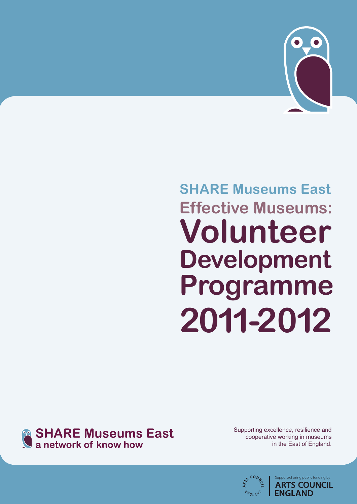

# **SHARE Museums East Effective Museums: Volunteer Development Programme 2011-2012**



Supporting excellence, resilience and cooperative working in museums in the East of England.



Supported using public funding by **ARTS COUNCIL ENGLAND**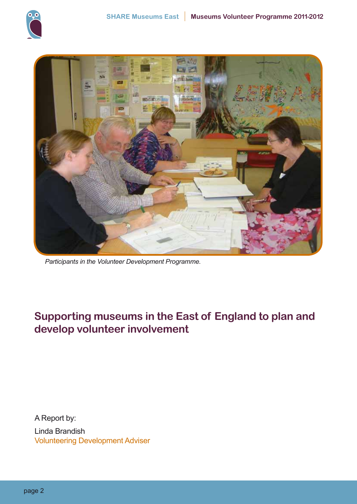



 *Participants in the Volunteer Development Programme.*

# **Supporting museums in the East of England to plan and develop volunteer involvement**

A Report by: Linda Brandish Volunteering Development Adviser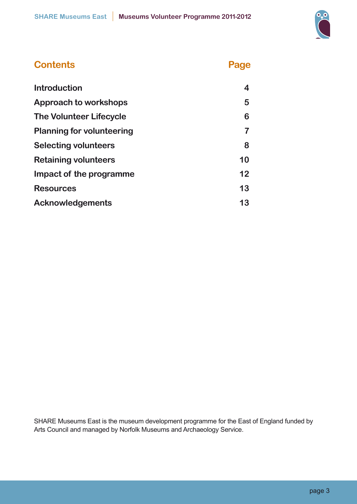

| <b>Contents</b>                  | Page |
|----------------------------------|------|
| <b>Introduction</b>              | 4    |
| Approach to workshops            | 5    |
| <b>The Volunteer Lifecycle</b>   | 6    |
| <b>Planning for volunteering</b> | 7    |
| <b>Selecting volunteers</b>      | 8    |
| <b>Retaining volunteers</b>      | 10   |
| Impact of the programme          | 12   |
| <b>Resources</b>                 | 13   |
| <b>Acknowledgements</b>          | 13   |

SHARE Museums East is the museum development programme for the East of England funded by Arts Council and managed by Norfolk Museums and Archaeology Service.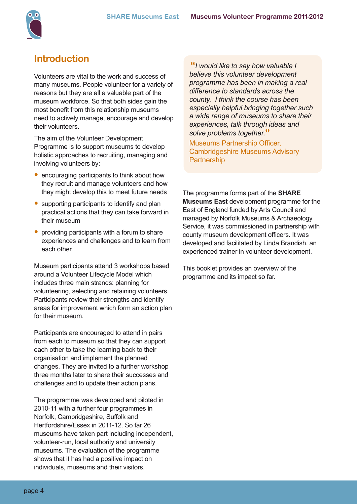

## **Introduction**

Volunteers are vital to the work and success of many museums. People volunteer for a variety of reasons but they are all a valuable part of the museum workforce. So that both sides gain the most benefit from this relationship museums need to actively manage, encourage and develop their volunteers.

The aim of the Volunteer Development Programme is to support museums to develop holistic approaches to recruiting, managing and involving volunteers by:

- encouraging participants to think about how they recruit and manage volunteers and how they might develop this to meet future needs
- supporting participants to identify and plan practical actions that they can take forward in their museum
- providing participants with a forum to share experiences and challenges and to learn from each other.

Museum participants attend 3 workshops based around a Volunteer Lifecycle Model which includes three main strands: planning for volunteering, selecting and retaining volunteers. Participants review their strengths and identify areas for improvement which form an action plan for their museum.

Participants are encouraged to attend in pairs from each to museum so that they can support each other to take the learning back to their organisation and implement the planned changes. They are invited to a further workshop three months later to share their successes and challenges and to update their action plans.

The programme was developed and piloted in 2010-11 with a further four programmes in Norfolk, Cambridgeshire, Suffolk and Hertfordshire/Essex in 2011-12. So far 26 museums have taken part including independent, volunteer-run, local authority and university museums. The evaluation of the programme shows that it has had a positive impact on individuals, museums and their visitors.

**"***I would like to say how valuable I believe this volunteer development programme has been in making a real difference to standards across the county. I think the course has been especially helpful bringing together such a wide range of museums to share their experiences, talk through ideas and solve problems together.***"**

Museums Partnership Officer, Cambridgeshire Museums Advisory **Partnership** 

The programme forms part of the **SHARE Museums East** development programme for the East of England funded by Arts Council and managed by Norfolk Museums & Archaeology Service, it was commissioned in partnership with county museum development officers. It was developed and facilitated by Linda Brandish, an experienced trainer in volunteer development.

This booklet provides an overview of the programme and its impact so far.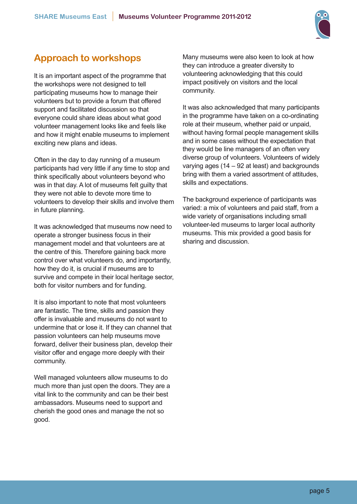

# **Approach to workshops**

It is an important aspect of the programme that the workshops were not designed to tell participating museums how to manage their volunteers but to provide a forum that offered support and facilitated discussion so that everyone could share ideas about what good volunteer management looks like and feels like and how it might enable museums to implement exciting new plans and ideas.

Often in the day to day running of a museum participants had very little if any time to stop and think specifically about volunteers beyond who was in that day. A lot of museums felt guilty that they were not able to devote more time to volunteers to develop their skills and involve them in future planning.

It was acknowledged that museums now need to operate a stronger business focus in their management model and that volunteers are at the centre of this. Therefore gaining back more control over what volunteers do, and importantly, how they do it, is crucial if museums are to survive and compete in their local heritage sector, both for visitor numbers and for funding.

It is also important to note that most volunteers are fantastic. The time, skills and passion they offer is invaluable and museums do not want to undermine that or lose it. If they can channel that passion volunteers can help museums move forward, deliver their business plan, develop their visitor offer and engage more deeply with their community.

Well managed volunteers allow museums to do much more than just open the doors. They are a vital link to the community and can be their best ambassadors. Museums need to support and cherish the good ones and manage the not so good.

Many museums were also keen to look at how they can introduce a greater diversity to volunteering acknowledging that this could impact positively on visitors and the local community.

It was also acknowledged that many participants in the programme have taken on a co-ordinating role at their museum, whether paid or unpaid, without having formal people management skills and in some cases without the expectation that they would be line managers of an often very diverse group of volunteers. Volunteers of widely varying ages (14 – 92 at least) and backgrounds bring with them a varied assortment of attitudes, skills and expectations.

The background experience of participants was varied: a mix of volunteers and paid staff, from a wide variety of organisations including small volunteer-led museums to larger local authority museums. This mix provided a good basis for sharing and discussion.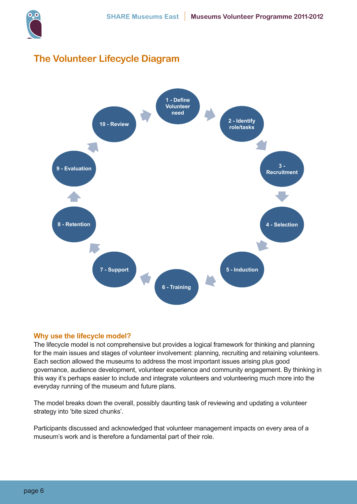

## **The Volunteer Lifecycle Diagram**



#### **Why use the lifecycle model?**

The lifecycle model is not comprehensive but provides a logical framework for thinking and planning for the main issues and stages of volunteer involvement: planning, recruiting and retaining volunteers. Each section allowed the museums to address the most important issues arising plus good governance, audience development, volunteer experience and community engagement. By thinking in this way it's perhaps easier to include and integrate volunteers and volunteering much more into the everyday running of the museum and future plans.

The model breaks down the overall, possibly daunting task of reviewing and updating a volunteer strategy into 'bite sized chunks'.

Participants discussed and acknowledged that volunteer management impacts on every area of a museum's work and is therefore a fundamental part of their role.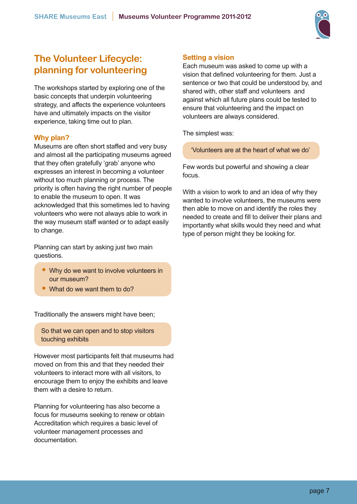

## **The Volunteer Lifecycle: planning for volunteering**

The workshops started by exploring one of the basic concepts that underpin volunteering strategy, and affects the experience volunteers have and ultimately impacts on the visitor experience, taking time out to plan.

#### **Why plan?**

Museums are often short staffed and very busy and almost all the participating museums agreed that they often gratefully 'grab' anyone who expresses an interest in becoming a volunteer without too much planning or process. The priority is often having the right number of people to enable the museum to open. It was acknowledged that this sometimes led to having volunteers who were not always able to work in the way museum staff wanted or to adapt easily to change.

Planning can start by asking just two main questions.

- Why do we want to involve volunteers in our museum?
- What do we want them to do?

Traditionally the answers might have been;

So that we can open and to stop visitors touching exhibits

However most participants felt that museums had moved on from this and that they needed their volunteers to interact more with all visitors, to encourage them to enjoy the exhibits and leave them with a desire to return.

Planning for volunteering has also become a focus for museums seeking to renew or obtain Accreditation which requires a basic level of volunteer management processes and documentation.

#### **Setting a vision**

Each museum was asked to come up with a vision that defined volunteering for them. Just a sentence or two that could be understood by, and shared with, other staff and volunteers and against which all future plans could be tested to ensure that volunteering and the impact on volunteers are always considered.

The simplest was:

'Volunteers are at the heart of what we do'

Few words but powerful and showing a clear focus.

With a vision to work to and an idea of why they wanted to involve volunteers, the museums were then able to move on and identify the roles they needed to create and fill to deliver their plans and importantly what skills would they need and what type of person might they be looking for.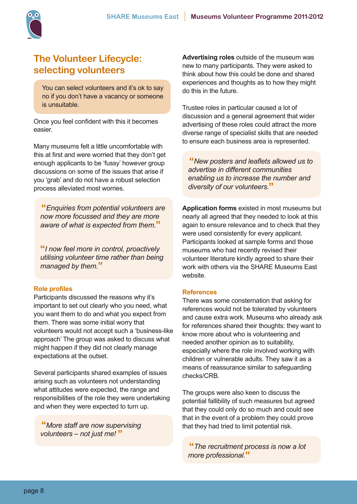

## **The Volunteer Lifecycle: selecting volunteers**

You can select volunteers and it's ok to say no if you don't have a vacancy or someone is unsuitable.

Once you feel confident with this it becomes easier.

Many museums felt a little uncomfortable with this at first and were worried that they don't get enough applicants to be 'fussy' however group discussions on some of the issues that arise if you 'grab' and do not have a robust selection process alleviated most worries.

**"***Enquiries from potential volunteers are now more focussed and they are more aware of what is expected from them.***"**

**"***I now feel more in control, proactively utilising volunteer time rather than being managed by them.***"**

#### **Role profiles**

Participants discussed the reasons why it's important to set out clearly who you need, what you want them to do and what you expect from them. There was some initial worry that volunteers would not accept such a 'business-like approach' The group was asked to discuss what might happen if they did not clearly manage expectations at the outset.

Several participants shared examples of issues arising such as volunteers not understanding what attitudes were expected, the range and responsibilities of the role they were undertaking and when they were expected to turn up.

**"***More staff are now supervising volunteers – not just me!* **"**

**Advertising roles** outside of the museum was new to many participants. They were asked to think about how this could be done and shared experiences and thoughts as to how they might do this in the future.

Trustee roles in particular caused a lot of discussion and a general agreement that wider advertising of these roles could attract the more diverse range of specialist skills that are needed to ensure each business area is represented.

**"***New posters and leaflets allowed us to advertise in different communities enabling us to increase the number and diversity of our volunteers.***"**

**Application forms** existed in most museums but nearly all agreed that they needed to look at this again to ensure relevance and to check that they were used consistently for every applicant. Participants looked at sample forms and those museums who had recently revised their volunteer literature kindly agreed to share their work with others via the SHARE Museums East website.

#### **References**

There was some consternation that asking for references would not be tolerated by volunteers and cause extra work. Museums who already ask for references shared their thoughts: they want to know more about who is volunteering and needed another opinion as to suitability, especially where the role involved working with children or vulnerable adults. They saw it as a means of reassurance similar to safeguarding checks/CRB.

The groups were also keen to discuss the potential fallibility of such measures but agreed that they could only do so much and could see that in the event of a problem they could prove that they had tried to limit potential risk.

**"***The recruitment process is now a lot more professional.***"**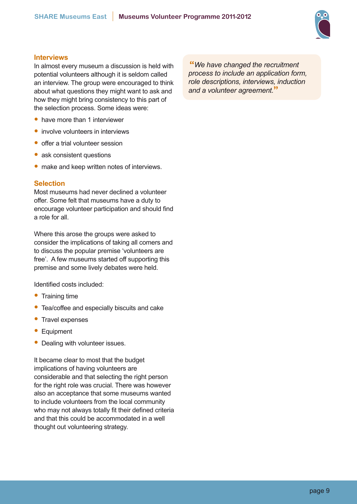

#### **Interviews**

In almost every museum a discussion is held with potential volunteers although it is seldom called an interview. The group were encouraged to think about what questions they might want to ask and how they might bring consistency to this part of the selection process. Some ideas were:

- have more than 1 interviewer
- involve volunteers in interviews
- offer a trial volunteer session
- ask consistent questions
- make and keep written notes of interviews.

#### **Selection**

Most museums had never declined a volunteer offer. Some felt that museums have a duty to encourage volunteer participation and should find a role for all.

Where this arose the groups were asked to consider the implications of taking all comers and to discuss the popular premise 'volunteers are free'. A few museums started off supporting this premise and some lively debates were held.

Identified costs included:

- Training time
- Tea/coffee and especially biscuits and cake
- Travel expenses
- Equipment
- Dealing with volunteer issues.

It became clear to most that the budget implications of having volunteers are considerable and that selecting the right person for the right role was crucial. There was however also an acceptance that some museums wanted to include volunteers from the local community who may not always totally fit their defined criteria and that this could be accommodated in a well thought out volunteering strategy.

**"***We have changed the recruitment process to include an application form, role descriptions, interviews, induction and a volunteer agreement.***"**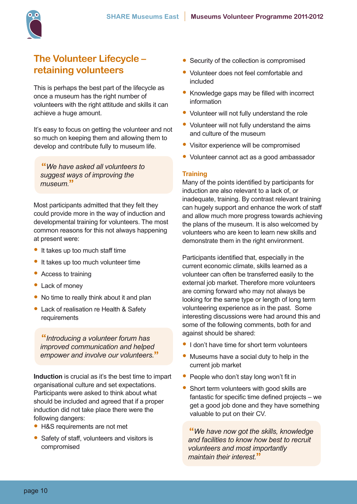

## **The Volunteer Lifecycle – retaining volunteers**

This is perhaps the best part of the lifecycle as once a museum has the right number of volunteers with the right attitude and skills it can achieve a huge amount.

It's easy to focus on getting the volunteer and not so much on keeping them and allowing them to develop and contribute fully to museum life.

**"***We have asked all volunteers to suggest ways of improving the museum.***"**

Most participants admitted that they felt they could provide more in the way of induction and developmental training for volunteers. The most common reasons for this not always happening at present were:

- It takes up too much staff time
- It takes up too much volunteer time
- Access to training
- Lack of money
- No time to really think about it and plan
- Lack of realisation re Health & Safety requirements

**"***Introducing a volunteer forum has improved communication and helped empower and involve our volunteers.***"**

**Induction** is crucial as it's the best time to impart organisational culture and set expectations. Participants were asked to think about what should be included and agreed that if a proper induction did not take place there were the following dangers:

- H&S requirements are not met
- Safety of staff, volunteers and visitors is compromised
- Security of the collection is compromised
- Volunteer does not feel comfortable and included
- Knowledge gaps may be filled with incorrect information
- Volunteer will not fully understand the role
- Volunteer will not fully understand the aims and culture of the museum
- Visitor experience will be compromised
- Volunteer cannot act as a good ambassador

#### **Training**

Many of the points identified by participants for induction are also relevant to a lack of, or inadequate, training. By contrast relevant training can hugely support and enhance the work of staff and allow much more progress towards achieving the plans of the museum. It is also welcomed by volunteers who are keen to learn new skills and demonstrate them in the right environment.

Participants identified that, especially in the current economic climate, skills learned as a volunteer can often be transferred easily to the external job market. Therefore more volunteers are coming forward who may not always be looking for the same type or length of long term volunteering experience as in the past. Some interesting discussions were had around this and some of the following comments, both for and against should be shared:

- I don't have time for short term volunteers
- Museums have a social duty to help in the current job market
- People who don't stay long won't fit in
- Short term volunteers with good skills are fantastic for specific time defined projects – we get a good job done and they have something valuable to put on their CV.

**"***We have now got the skills, knowledge and facilities to know how best to recruit volunteers and most importantly maintain their interest.***"**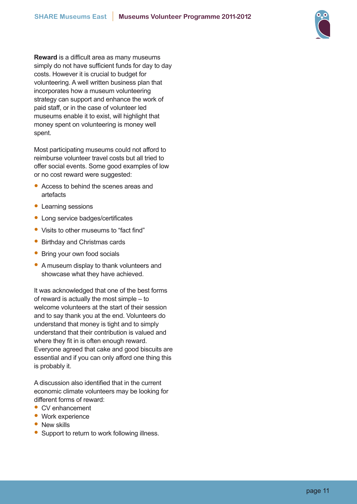

**Reward** is a difficult area as many museums simply do not have sufficient funds for day to day costs. However it is crucial to budget for volunteering. A well written business plan that incorporates how a museum volunteering strategy can support and enhance the work of paid staff, or in the case of volunteer led museums enable it to exist, will highlight that money spent on volunteering is money well spent.

Most participating museums could not afford to reimburse volunteer travel costs but all tried to offer social events. Some good examples of low or no cost reward were suggested:

- Access to behind the scenes areas and artefacts
- Learning sessions
- Long service badges/certificates
- Visits to other museums to "fact find"
- Birthday and Christmas cards
- Bring your own food socials
- A museum display to thank volunteers and showcase what they have achieved.

It was acknowledged that one of the best forms of reward is actually the most simple – to welcome volunteers at the start of their session and to say thank you at the end. Volunteers do understand that money is tight and to simply understand that their contribution is valued and where they fit in is often enough reward. Everyone agreed that cake and good biscuits are essential and if you can only afford one thing this is probably it.

A discussion also identified that in the current economic climate volunteers may be looking for different forms of reward:

- CV enhancement
- Work experience
- New skills
- Support to return to work following illness.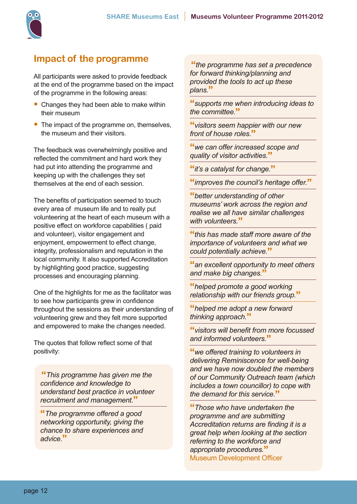

### **Impact of the programme**

All participants were asked to provide feedback at the end of the programme based on the impact of the programme in the following areas:

- Changes they had been able to make within their museum
- The impact of the programme on, themselves, the museum and their visitors.

The feedback was overwhelmingly positive and reflected the commitment and hard work they had put into attending the programme and keeping up with the challenges they set themselves at the end of each session.

The benefits of participation seemed to touch every area of museum life and to really put volunteering at the heart of each museum with a positive effect on workforce capabilities ( paid and volunteer), visitor engagement and enjoyment, empowerment to effect change, integrity, professionalism and reputation in the local community. It also supported Accreditation by highlighting good practice, suggesting processes and encouraging planning.

One of the highlights for me as the facilitator was to see how participants grew in confidence throughout the sessions as their understanding of volunteering grew and they felt more supported and empowered to make the changes needed.

The quotes that follow reflect some of that positivity:

**"***This programme has given me the confidence and knowledge to understand best practice in volunteer recruitment and management.***"**

**"***The programme offered a good networking opportunity, giving the chance to share experiences and advice.***"**

**"***the programme has set a precedence for forward thinking/planning and provided the tools to act up these plans.***"**

**"***supports me when introducing ideas to the committee.***"**

**"***visitors seem happier with our new front of house roles.***"**

**"***we can offer increased scope and quality of visitor activities.***"**

**"***it's a catalyst for change.***"**

**"***improves the council's heritage offer.***"**

**"***better understanding of other museums' work across the region and realise we all have similar challenges with volunteers.***"**

**"***this has made staff more aware of the importance of volunteers and what we could potentially achieve.***"**

**"***an excellent opportunity to meet others and make big changes.***"**

**"***helped promote a good working relationship with our friends group.***"**

**"***helped me adopt a new forward thinking approach.***"**

**"***visitors will benefit from more focussed and informed volunteers.***"**

**"***we offered training to volunteers in delivering Reminiscence for well-being and we have now doubled the members of our Community Outreach team (which includes a town councillor) to cope with the demand for this service.***"**

**"***Those who have undertaken the programme and are submitting Accreditation returns are finding it is a great help when looking at the section referring to the workforce and appropriate procedures.***"** Museum Development Officer